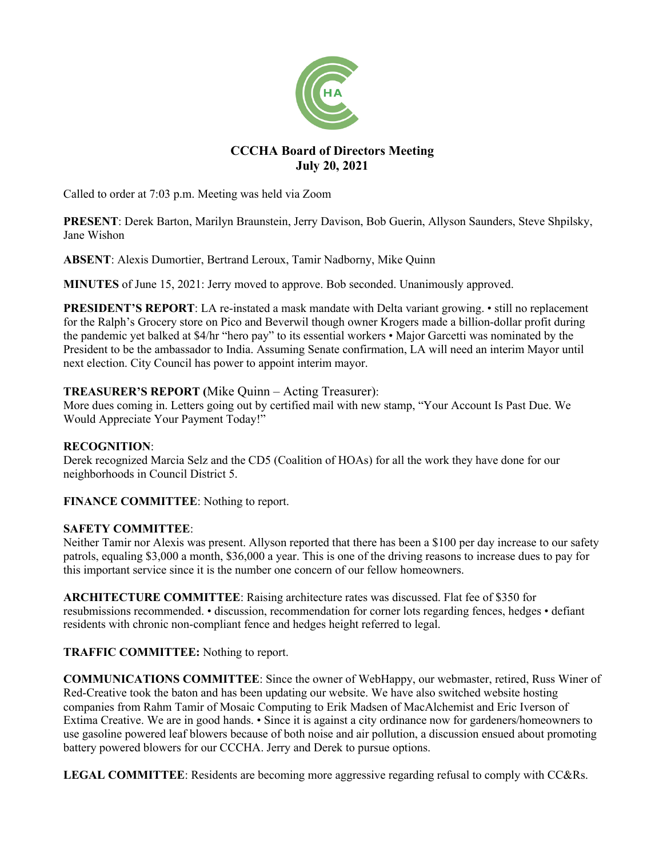

# **CCCHA Board of Directors Meeting July 20, 2021**

Called to order at 7:03 p.m. Meeting was held via Zoom

**PRESENT**: Derek Barton, Marilyn Braunstein, Jerry Davison, Bob Guerin, Allyson Saunders, Steve Shpilsky, Jane Wishon

**ABSENT**: Alexis Dumortier, Bertrand Leroux, Tamir Nadborny, Mike Quinn

**MINUTES** of June 15, 2021: Jerry moved to approve. Bob seconded. Unanimously approved.

**PRESIDENT'S REPORT**: LA re-instated a mask mandate with Delta variant growing. • still no replacement for the Ralph's Grocery store on Pico and Beverwil though owner Krogers made a billion-dollar profit during the pandemic yet balked at \$4/hr "hero pay" to its essential workers • Major Garcetti was nominated by the President to be the ambassador to India. Assuming Senate confirmation, LA will need an interim Mayor until next election. City Council has power to appoint interim mayor.

# **TREASURER'S REPORT (**Mike Quinn – Acting Treasurer):

More dues coming in. Letters going out by certified mail with new stamp, "Your Account Is Past Due. We Would Appreciate Your Payment Today!"

# **RECOGNITION**:

Derek recognized Marcia Selz and the CD5 (Coalition of HOAs) for all the work they have done for our neighborhoods in Council District 5.

**FINANCE COMMITTEE**: Nothing to report.

# **SAFETY COMMITTEE**:

Neither Tamir nor Alexis was present. Allyson reported that there has been a \$100 per day increase to our safety patrols, equaling \$3,000 a month, \$36,000 a year. This is one of the driving reasons to increase dues to pay for this important service since it is the number one concern of our fellow homeowners.

**ARCHITECTURE COMMITTEE**: Raising architecture rates was discussed. Flat fee of \$350 for resubmissions recommended. • discussion, recommendation for corner lots regarding fences, hedges • defiant residents with chronic non-compliant fence and hedges height referred to legal.

# **TRAFFIC COMMITTEE:** Nothing to report.

**COMMUNICATIONS COMMITTEE**: Since the owner of WebHappy, our webmaster, retired, Russ Winer of Red-Creative took the baton and has been updating our website. We have also switched website hosting companies from Rahm Tamir of Mosaic Computing to Erik Madsen of MacAlchemist and Eric Iverson of Extima Creative. We are in good hands. • Since it is against a city ordinance now for gardeners/homeowners to use gasoline powered leaf blowers because of both noise and air pollution, a discussion ensued about promoting battery powered blowers for our CCCHA. Jerry and Derek to pursue options.

**LEGAL COMMITTEE**: Residents are becoming more aggressive regarding refusal to comply with CC&Rs.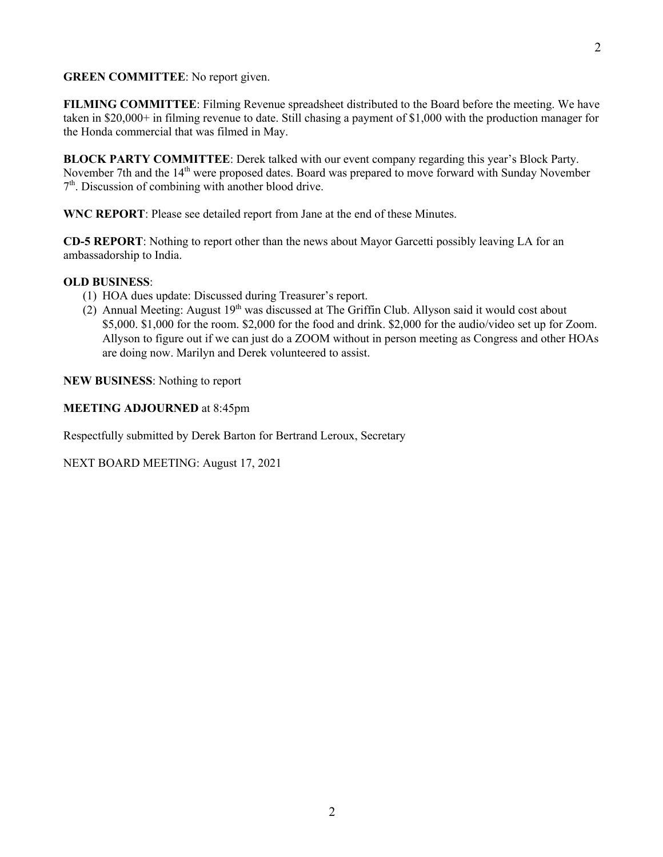### **GREEN COMMITTEE**: No report given.

**FILMING COMMITTEE**: Filming Revenue spreadsheet distributed to the Board before the meeting. We have taken in \$20,000+ in filming revenue to date. Still chasing a payment of \$1,000 with the production manager for the Honda commercial that was filmed in May.

**BLOCK PARTY COMMITTEE**: Derek talked with our event company regarding this year's Block Party. November 7th and the 14<sup>th</sup> were proposed dates. Board was prepared to move forward with Sunday November  $7<sup>th</sup>$ . Discussion of combining with another blood drive.

**WNC REPORT**: Please see detailed report from Jane at the end of these Minutes.

**CD-5 REPORT**: Nothing to report other than the news about Mayor Garcetti possibly leaving LA for an ambassadorship to India.

## **OLD BUSINESS**:

- (1) HOA dues update: Discussed during Treasurer's report.
- (2) Annual Meeting: August  $19<sup>th</sup>$  was discussed at The Griffin Club. Allyson said it would cost about \$5,000. \$1,000 for the room. \$2,000 for the food and drink. \$2,000 for the audio/video set up for Zoom. Allyson to figure out if we can just do a ZOOM without in person meeting as Congress and other HOAs are doing now. Marilyn and Derek volunteered to assist.

**NEW BUSINESS**: Nothing to report

**MEETING ADJOURNED** at 8:45pm

Respectfully submitted by Derek Barton for Bertrand Leroux, Secretary

NEXT BOARD MEETING: August 17, 2021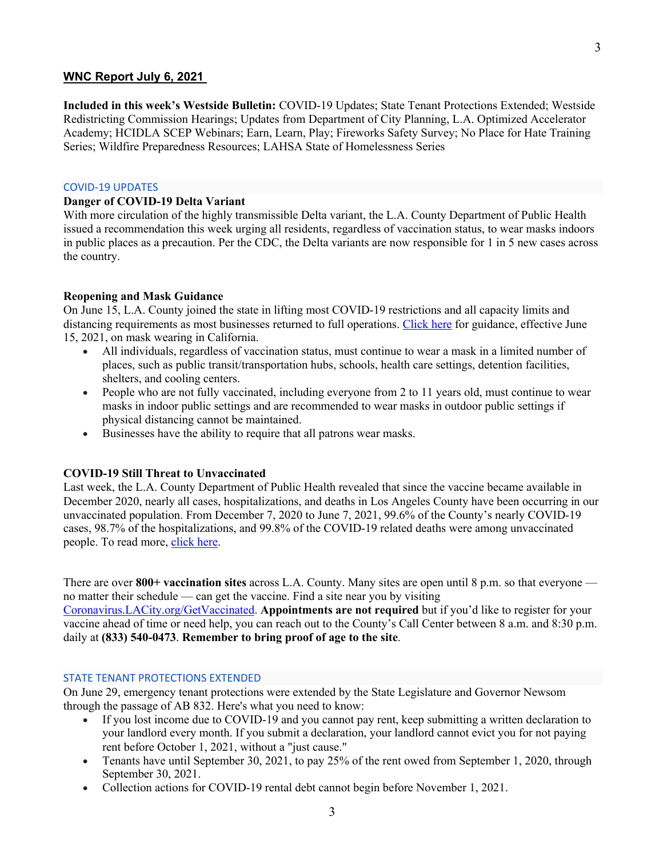## **WNC Report July 6, 2021**

**Included in this week's Westside Bulletin:** COVID-19 Updates; State Tenant Protections Extended; Westside Redistricting Commission Hearings; Updates from Department of City Planning, L.A. Optimized Accelerator Academy; HCIDLA SCEP Webinars; Earn, Learn, Play; Fireworks Safety Survey; No Place for Hate Training Series; Wildfire Preparedness Resources; LAHSA State of Homelessness Series

#### COVID-19 UPDATES

#### **Danger of COVID-19 Delta Variant**

With more circulation of the highly transmissible Delta variant, the L.A. County Department of Public Health issued a recommendation this week urging all residents, regardless of vaccination status, to wear masks indoors in public places as a precaution. Per the CDC, the Delta variants are now responsible for 1 in 5 new cases across the country.

#### **Reopening and Mask Guidance**

On June 15, L.A. County joined the state in lifting most COVID-19 restrictions and all capacity limits and distancing requirements as most businesses returned to full operations. Click here for guidance, effective June 15, 2021, on mask wearing in California.

- All individuals, regardless of vaccination status, must continue to wear a mask in a limited number of places, such as public transit/transportation hubs, schools, health care settings, detention facilities, shelters, and cooling centers.
- People who are not fully vaccinated, including everyone from 2 to 11 years old, must continue to wear masks in indoor public settings and are recommended to wear masks in outdoor public settings if physical distancing cannot be maintained.
- Businesses have the ability to require that all patrons wear masks.

#### **COVID-19 Still Threat to Unvaccinated**

Last week, the L.A. County Department of Public Health revealed that since the vaccine became available in December 2020, nearly all cases, hospitalizations, and deaths in Los Angeles County have been occurring in our unvaccinated population. From December 7, 2020 to June 7, 2021, 99.6% of the County's nearly COVID-19 cases, 98.7% of the hospitalizations, and 99.8% of the COVID-19 related deaths were among unvaccinated people. To read more, click here.

There are over **800+ vaccination sites** across L.A. County. Many sites are open until 8 p.m. so that everyone no matter their schedule — can get the vaccine. Find a site near you by visiting

Coronavirus.LACity.org/GetVaccinated. **Appointments are not required** but if you'd like to register for your vaccine ahead of time or need help, you can reach out to the County's Call Center between 8 a.m. and 8:30 p.m. daily at **(833) 540-0473**. **Remember to bring proof of age to the site**.

#### STATE TENANT PROTECTIONS EXTENDED

On June 29, emergency tenant protections were extended by the State Legislature and Governor Newsom through the passage of AB 832. Here's what you need to know:

- If you lost income due to COVID-19 and you cannot pay rent, keep submitting a written declaration to your landlord every month. If you submit a declaration, your landlord cannot evict you for not paying rent before October 1, 2021, without a "just cause."
- Tenants have until September 30, 2021, to pay 25% of the rent owed from September 1, 2020, through September 30, 2021.
- Collection actions for COVID-19 rental debt cannot begin before November 1, 2021.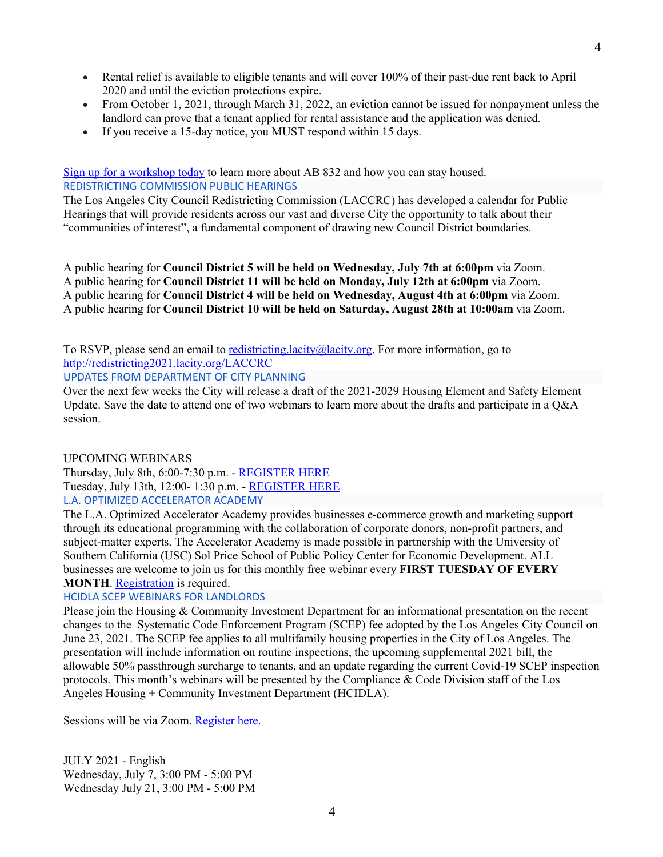- Rental relief is available to eligible tenants and will cover 100% of their past-due rent back to April 2020 and until the eviction protections expire.
- From October 1, 2021, through March 31, 2022, an eviction cannot be issued for nonpayment unless the landlord can prove that a tenant applied for rental assistance and the application was denied.
- If you receive a 15-day notice, you MUST respond within 15 days.

Sign up for a workshop today to learn more about AB 832 and how you can stay housed. REDISTRICTING COMMISSION PUBLIC HEARINGS

The Los Angeles City Council Redistricting Commission (LACCRC) has developed a calendar for Public Hearings that will provide residents across our vast and diverse City the opportunity to talk about their "communities of interest", a fundamental component of drawing new Council District boundaries.

A public hearing for **Council District 5 will be held on Wednesday, July 7th at 6:00pm** via Zoom. A public hearing for **Council District 11 will be held on Monday, July 12th at 6:00pm** via Zoom. A public hearing for **Council District 4 will be held on Wednesday, August 4th at 6:00pm** via Zoom. A public hearing for **Council District 10 will be held on Saturday, August 28th at 10:00am** via Zoom.

To RSVP, please send an email to redistricting.lacity@lacity.org. For more information, go to http://redistricting2021.lacity.org/LACCRC

UPDATES FROM DEPARTMENT OF CITY PLANNING

Over the next few weeks the City will release a draft of the 2021-2029 Housing Element and Safety Element Update. Save the date to attend one of two webinars to learn more about the drafts and participate in a Q&A session.

# UPCOMING WEBINARS

Thursday, July 8th, 6:00-7:30 p.m. - REGISTER HERE Tuesday, July 13th, 12:00- 1:30 p.m. - REGISTER HERE L.A. OPTIMIZED ACCELERATOR ACADEMY

The L.A. Optimized Accelerator Academy provides businesses e-commerce growth and marketing support through its educational programming with the collaboration of corporate donors, non-profit partners, and subject-matter experts. The Accelerator Academy is made possible in partnership with the University of Southern California (USC) Sol Price School of Public Policy Center for Economic Development. ALL businesses are welcome to join us for this monthly free webinar every **FIRST TUESDAY OF EVERY MONTH.** Registration is required.

# HCIDLA SCEP WEBINARS FOR LANDLORDS

Please join the Housing & Community Investment Department for an informational presentation on the recent changes to the Systematic Code Enforcement Program (SCEP) fee adopted by the Los Angeles City Council on June 23, 2021. The SCEP fee applies to all multifamily housing properties in the City of Los Angeles. The presentation will include information on routine inspections, the upcoming supplemental 2021 bill, the allowable 50% passthrough surcharge to tenants, and an update regarding the current Covid-19 SCEP inspection protocols. This month's webinars will be presented by the Compliance & Code Division staff of the Los Angeles Housing + Community Investment Department (HCIDLA).

Sessions will be via Zoom. Register here.

JULY 2021 - English Wednesday, July 7, 3:00 PM - 5:00 PM Wednesday July 21, 3:00 PM - 5:00 PM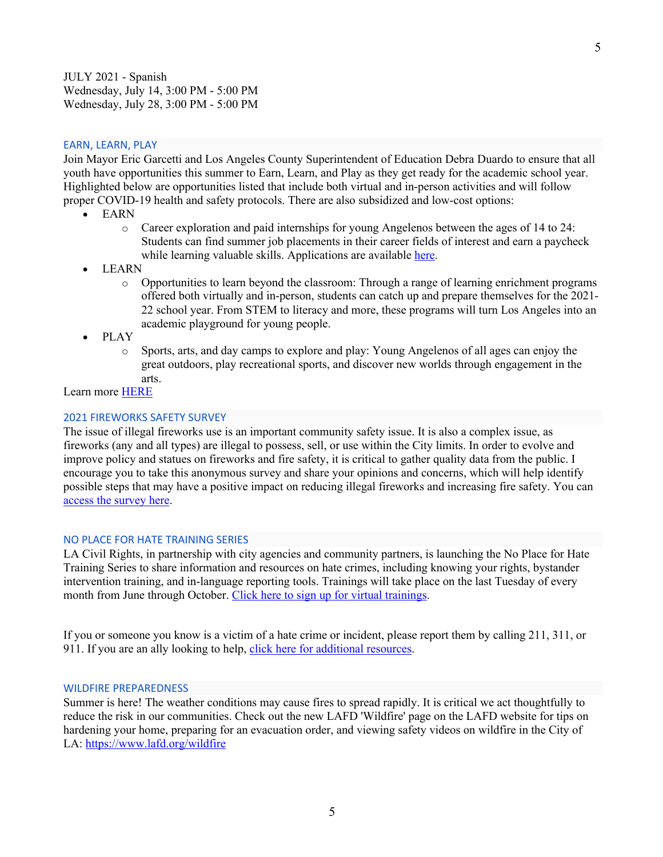JULY 2021 - Spanish Wednesday, July 14, 3:00 PM - 5:00 PM Wednesday, July 28, 3:00 PM - 5:00 PM

### EARN, LEARN, PLAY

Join Mayor Eric Garcetti and Los Angeles County Superintendent of Education Debra Duardo to ensure that all youth have opportunities this summer to Earn, Learn, and Play as they get ready for the academic school year. Highlighted below are opportunities listed that include both virtual and in-person activities and will follow proper COVID-19 health and safety protocols. There are also subsidized and low-cost options:

- EARN
	- o Career exploration and paid internships for young Angelenos between the ages of 14 to 24: Students can find summer job placements in their career fields of interest and earn a paycheck while learning valuable skills. Applications are available here.
- LEARN
	- o Opportunities to learn beyond the classroom: Through a range of learning enrichment programs offered both virtually and in-person, students can catch up and prepare themselves for the 2021- 22 school year. From STEM to literacy and more, these programs will turn Los Angeles into an academic playground for young people.
- PLAY
	- o Sports, arts, and day camps to explore and play: Young Angelenos of all ages can enjoy the great outdoors, play recreational sports, and discover new worlds through engagement in the arts.

## Learn more HERE

### 2021 FIREWORKS SAFETY SURVEY

The issue of illegal fireworks use is an important community safety issue. It is also a complex issue, as fireworks (any and all types) are illegal to possess, sell, or use within the City limits. In order to evolve and improve policy and statues on fireworks and fire safety, it is critical to gather quality data from the public. I encourage you to take this anonymous survey and share your opinions and concerns, which will help identify possible steps that may have a positive impact on reducing illegal fireworks and increasing fire safety. You can access the survey here.

#### NO PLACE FOR HATE TRAINING SERIES

LA Civil Rights, in partnership with city agencies and community partners, is launching the No Place for Hate Training Series to share information and resources on hate crimes, including knowing your rights, bystander intervention training, and in-language reporting tools. Trainings will take place on the last Tuesday of every month from June through October. Click here to sign up for virtual trainings.

If you or someone you know is a victim of a hate crime or incident, please report them by calling 211, 311, or 911. If you are an ally looking to help, click here for additional resources.

#### WILDFIRE PREPAREDNESS

Summer is here! The weather conditions may cause fires to spread rapidly. It is critical we act thoughtfully to reduce the risk in our communities. Check out the new LAFD 'Wildfire' page on the LAFD website for tips on hardening your home, preparing for an evacuation order, and viewing safety videos on wildfire in the City of LA: https://www.lafd.org/wildfire